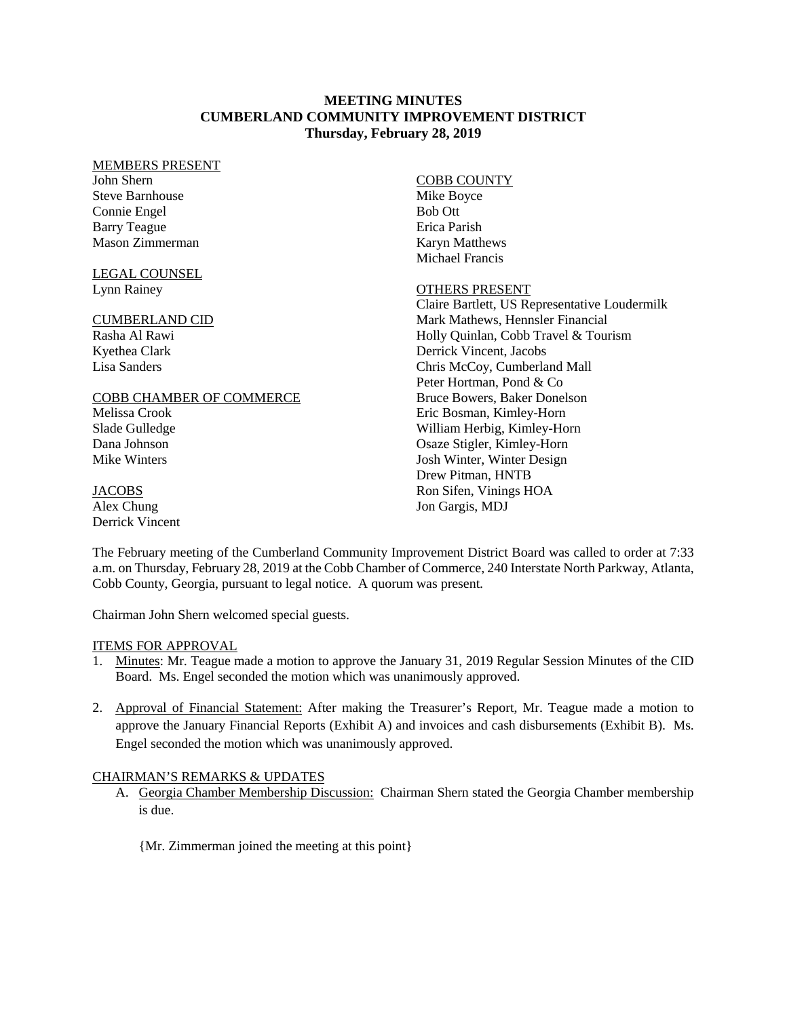### **MEETING MINUTES CUMBERLAND COMMUNITY IMPROVEMENT DISTRICT Thursday, February 28, 2019**

#### MEMBERS PRESENT

John Shern Steve Barnhouse Connie Engel Barry Teague Mason Zimmerman

#### LEGAL COUNSEL Lynn Rainey

### CUMBERLAND CID

Rasha Al Rawi Kyethea Clark Lisa Sanders

### COBB CHAMBER OF COMMERCE

Melissa Crook Slade Gulledge Dana Johnson Mike Winters

**JACOBS** Alex Chung

Derrick Vincent

### COBB COUNTY

Mike Boyce Bob Ott Erica Parish Karyn Matthews Michael Francis

### OTHERS PRESENT

Claire Bartlett, US Representative Loudermilk Mark Mathews, Hennsler Financial Holly Quinlan, Cobb Travel & Tourism Derrick Vincent, Jacobs Chris McCoy, Cumberland Mall Peter Hortman, Pond & Co Bruce Bowers, Baker Donelson Eric Bosman, Kimley-Horn William Herbig, Kimley-Horn Osaze Stigler, Kimley-Horn Josh Winter, Winter Design Drew Pitman, HNTB Ron Sifen, Vinings HOA Jon Gargis, MDJ

The February meeting of the Cumberland Community Improvement District Board was called to order at 7:33 a.m. on Thursday, February 28, 2019 at the Cobb Chamber of Commerce, 240 Interstate North Parkway, Atlanta, Cobb County, Georgia, pursuant to legal notice. A quorum was present.

Chairman John Shern welcomed special guests.

# ITEMS FOR APPROVAL

- 1. Minutes: Mr. Teague made a motion to approve the January 31, 2019 Regular Session Minutes of the CID Board. Ms. Engel seconded the motion which was unanimously approved.
- 2. Approval of Financial Statement: After making the Treasurer's Report, Mr. Teague made a motion to approve the January Financial Reports (Exhibit A) and invoices and cash disbursements (Exhibit B). Ms. Engel seconded the motion which was unanimously approved.

# CHAIRMAN'S REMARKS & UPDATES

- A. Georgia Chamber Membership Discussion: Chairman Shern stated the Georgia Chamber membership is due.
	- {Mr. Zimmerman joined the meeting at this point}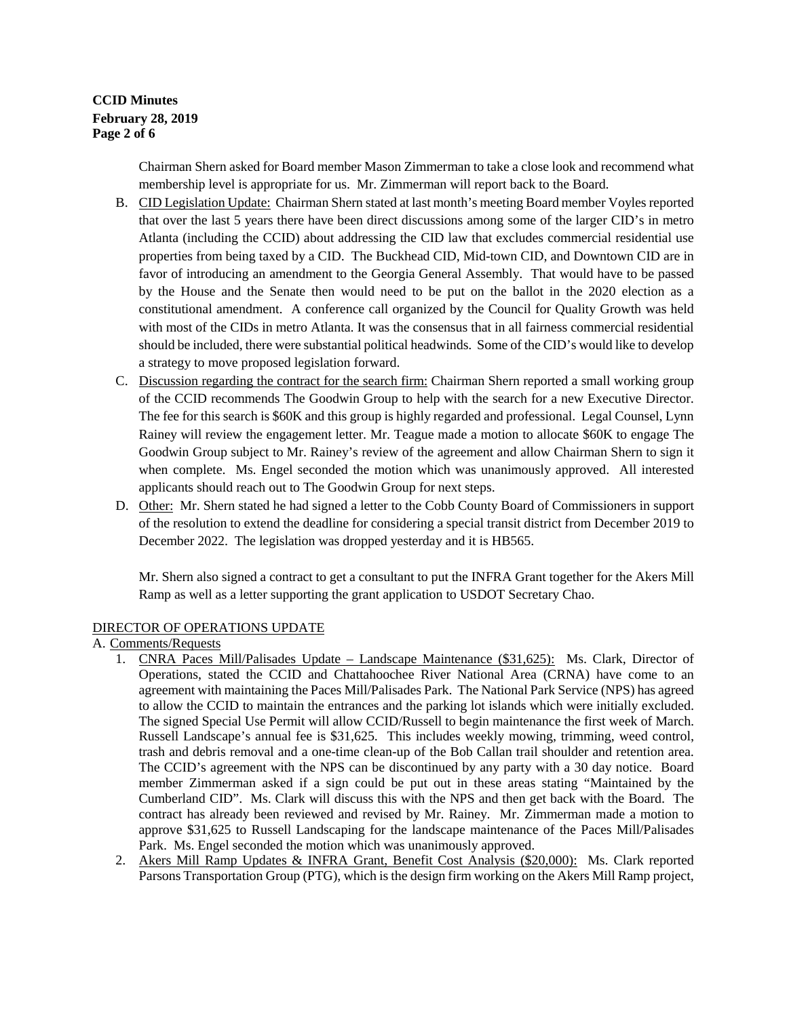**CCID Minutes February 28, 2019 Page 2 of 6** 

> Chairman Shern asked for Board member Mason Zimmerman to take a close look and recommend what membership level is appropriate for us. Mr. Zimmerman will report back to the Board.

- B. CID Legislation Update: Chairman Shern stated at last month's meeting Board member Voyles reported that over the last 5 years there have been direct discussions among some of the larger CID's in metro Atlanta (including the CCID) about addressing the CID law that excludes commercial residential use properties from being taxed by a CID. The Buckhead CID, Mid-town CID, and Downtown CID are in favor of introducing an amendment to the Georgia General Assembly. That would have to be passed by the House and the Senate then would need to be put on the ballot in the 2020 election as a constitutional amendment. A conference call organized by the Council for Quality Growth was held with most of the CIDs in metro Atlanta. It was the consensus that in all fairness commercial residential should be included, there were substantial political headwinds. Some of the CID's would like to develop a strategy to move proposed legislation forward.
- C. Discussion regarding the contract for the search firm: Chairman Shern reported a small working group of the CCID recommends The Goodwin Group to help with the search for a new Executive Director. The fee for this search is \$60K and this group is highly regarded and professional. Legal Counsel, Lynn Rainey will review the engagement letter. Mr. Teague made a motion to allocate \$60K to engage The Goodwin Group subject to Mr. Rainey's review of the agreement and allow Chairman Shern to sign it when complete. Ms. Engel seconded the motion which was unanimously approved. All interested applicants should reach out to The Goodwin Group for next steps.
- D. Other: Mr. Shern stated he had signed a letter to the Cobb County Board of Commissioners in support of the resolution to extend the deadline for considering a special transit district from December 2019 to December 2022. The legislation was dropped yesterday and it is HB565.

Mr. Shern also signed a contract to get a consultant to put the INFRA Grant together for the Akers Mill Ramp as well as a letter supporting the grant application to USDOT Secretary Chao.

### DIRECTOR OF OPERATIONS UPDATE

A. Comments/Requests

- 1. CNRA Paces Mill/Palisades Update Landscape Maintenance (\$31,625): Ms. Clark, Director of Operations, stated the CCID and Chattahoochee River National Area (CRNA) have come to an agreement with maintaining the Paces Mill/Palisades Park. The National Park Service (NPS) has agreed to allow the CCID to maintain the entrances and the parking lot islands which were initially excluded. The signed Special Use Permit will allow CCID/Russell to begin maintenance the first week of March. Russell Landscape's annual fee is \$31,625. This includes weekly mowing, trimming, weed control, trash and debris removal and a one-time clean-up of the Bob Callan trail shoulder and retention area. The CCID's agreement with the NPS can be discontinued by any party with a 30 day notice. Board member Zimmerman asked if a sign could be put out in these areas stating "Maintained by the Cumberland CID". Ms. Clark will discuss this with the NPS and then get back with the Board. The contract has already been reviewed and revised by Mr. Rainey. Mr. Zimmerman made a motion to approve \$31,625 to Russell Landscaping for the landscape maintenance of the Paces Mill/Palisades Park. Ms. Engel seconded the motion which was unanimously approved.
- 2. Akers Mill Ramp Updates & INFRA Grant, Benefit Cost Analysis (\$20,000): Ms. Clark reported Parsons Transportation Group (PTG), which is the design firm working on the Akers Mill Ramp project,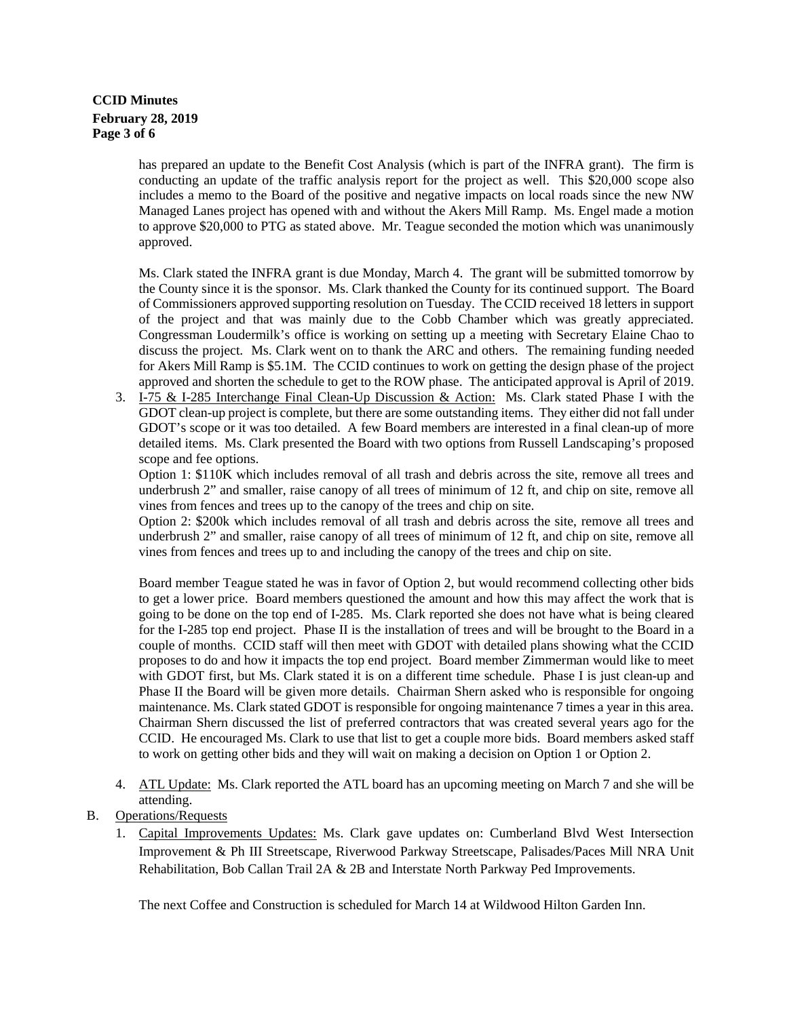# **CCID Minutes February 28, 2019 Page 3 of 6**

has prepared an update to the Benefit Cost Analysis (which is part of the INFRA grant). The firm is conducting an update of the traffic analysis report for the project as well. This \$20,000 scope also includes a memo to the Board of the positive and negative impacts on local roads since the new NW Managed Lanes project has opened with and without the Akers Mill Ramp. Ms. Engel made a motion to approve \$20,000 to PTG as stated above. Mr. Teague seconded the motion which was unanimously approved.

Ms. Clark stated the INFRA grant is due Monday, March 4. The grant will be submitted tomorrow by the County since it is the sponsor. Ms. Clark thanked the County for its continued support. The Board of Commissioners approved supporting resolution on Tuesday. The CCID received 18 letters in support of the project and that was mainly due to the Cobb Chamber which was greatly appreciated. Congressman Loudermilk's office is working on setting up a meeting with Secretary Elaine Chao to discuss the project. Ms. Clark went on to thank the ARC and others. The remaining funding needed for Akers Mill Ramp is \$5.1M. The CCID continues to work on getting the design phase of the project approved and shorten the schedule to get to the ROW phase. The anticipated approval is April of 2019.

3. I-75 & I-285 Interchange Final Clean-Up Discussion & Action: Ms. Clark stated Phase I with the GDOT clean-up project is complete, but there are some outstanding items. They either did not fall under GDOT's scope or it was too detailed. A few Board members are interested in a final clean-up of more detailed items. Ms. Clark presented the Board with two options from Russell Landscaping's proposed scope and fee options.

Option 1: \$110K which includes removal of all trash and debris across the site, remove all trees and underbrush 2" and smaller, raise canopy of all trees of minimum of 12 ft, and chip on site, remove all vines from fences and trees up to the canopy of the trees and chip on site.

Option 2: \$200k which includes removal of all trash and debris across the site, remove all trees and underbrush 2" and smaller, raise canopy of all trees of minimum of 12 ft, and chip on site, remove all vines from fences and trees up to and including the canopy of the trees and chip on site.

Board member Teague stated he was in favor of Option 2, but would recommend collecting other bids to get a lower price. Board members questioned the amount and how this may affect the work that is going to be done on the top end of I-285. Ms. Clark reported she does not have what is being cleared for the I-285 top end project. Phase II is the installation of trees and will be brought to the Board in a couple of months. CCID staff will then meet with GDOT with detailed plans showing what the CCID proposes to do and how it impacts the top end project. Board member Zimmerman would like to meet with GDOT first, but Ms. Clark stated it is on a different time schedule. Phase I is just clean-up and Phase II the Board will be given more details. Chairman Shern asked who is responsible for ongoing maintenance. Ms. Clark stated GDOT is responsible for ongoing maintenance 7 times a year in this area. Chairman Shern discussed the list of preferred contractors that was created several years ago for the CCID. He encouraged Ms. Clark to use that list to get a couple more bids. Board members asked staff to work on getting other bids and they will wait on making a decision on Option 1 or Option 2.

- 4. ATL Update: Ms. Clark reported the ATL board has an upcoming meeting on March 7 and she will be attending.
- B. Operations/Requests
	- 1. Capital Improvements Updates: Ms. Clark gave updates on: Cumberland Blvd West Intersection Improvement & Ph III Streetscape, Riverwood Parkway Streetscape, Palisades/Paces Mill NRA Unit Rehabilitation, Bob Callan Trail 2A & 2B and Interstate North Parkway Ped Improvements.

The next Coffee and Construction is scheduled for March 14 at Wildwood Hilton Garden Inn.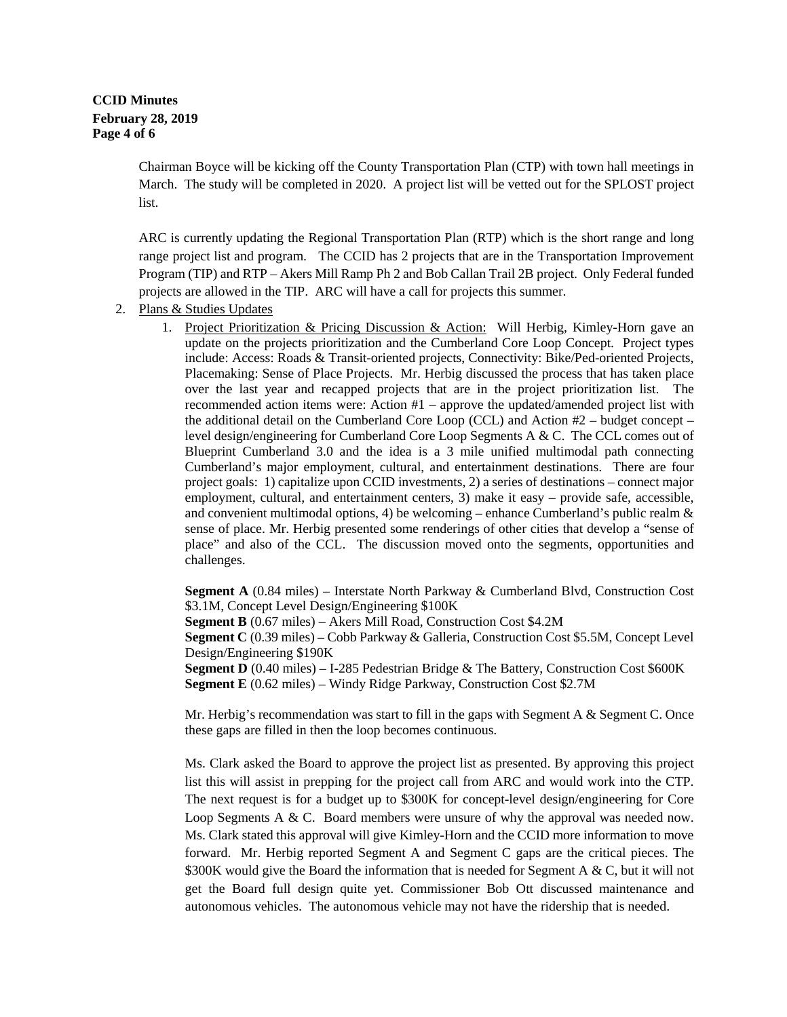# **CCID Minutes February 28, 2019 Page 4 of 6**

Chairman Boyce will be kicking off the County Transportation Plan (CTP) with town hall meetings in March. The study will be completed in 2020. A project list will be vetted out for the SPLOST project list.

ARC is currently updating the Regional Transportation Plan (RTP) which is the short range and long range project list and program. The CCID has 2 projects that are in the Transportation Improvement Program (TIP) and RTP – Akers Mill Ramp Ph 2 and Bob Callan Trail 2B project. Only Federal funded projects are allowed in the TIP. ARC will have a call for projects this summer.

- 2. Plans & Studies Updates
	- 1. Project Prioritization & Pricing Discussion & Action: Will Herbig, Kimley-Horn gave an update on the projects prioritization and the Cumberland Core Loop Concept. Project types include: Access: Roads & Transit-oriented projects, Connectivity: Bike/Ped-oriented Projects, Placemaking: Sense of Place Projects. Mr. Herbig discussed the process that has taken place over the last year and recapped projects that are in the project prioritization list. The recommended action items were: Action #1 – approve the updated/amended project list with the additional detail on the Cumberland Core Loop (CCL) and Action  $#2$  – budget concept – level design/engineering for Cumberland Core Loop Segments A & C. The CCL comes out of Blueprint Cumberland 3.0 and the idea is a 3 mile unified multimodal path connecting Cumberland's major employment, cultural, and entertainment destinations. There are four project goals: 1) capitalize upon CCID investments, 2) a series of destinations – connect major employment, cultural, and entertainment centers, 3) make it easy – provide safe, accessible, and convenient multimodal options, 4) be welcoming – enhance Cumberland's public realm  $\&$ sense of place. Mr. Herbig presented some renderings of other cities that develop a "sense of place" and also of the CCL. The discussion moved onto the segments, opportunities and challenges.

**Segment A** (0.84 miles) – Interstate North Parkway & Cumberland Blvd, Construction Cost \$3.1M, Concept Level Design/Engineering \$100K **Segment B** (0.67 miles) – Akers Mill Road, Construction Cost \$4.2M **Segment C** (0.39 miles) – Cobb Parkway & Galleria, Construction Cost \$5.5M, Concept Level Design/Engineering \$190K **Segment D** (0.40 miles) – I-285 Pedestrian Bridge & The Battery, Construction Cost \$600K **Segment E** (0.62 miles) – Windy Ridge Parkway, Construction Cost \$2.7M

Mr. Herbig's recommendation was start to fill in the gaps with Segment A  $\&$  Segment C. Once these gaps are filled in then the loop becomes continuous.

Ms. Clark asked the Board to approve the project list as presented. By approving this project list this will assist in prepping for the project call from ARC and would work into the CTP. The next request is for a budget up to \$300K for concept-level design/engineering for Core Loop Segments A & C. Board members were unsure of why the approval was needed now. Ms. Clark stated this approval will give Kimley-Horn and the CCID more information to move forward. Mr. Herbig reported Segment A and Segment C gaps are the critical pieces. The \$300K would give the Board the information that is needed for Segment A & C, but it will not get the Board full design quite yet. Commissioner Bob Ott discussed maintenance and autonomous vehicles. The autonomous vehicle may not have the ridership that is needed.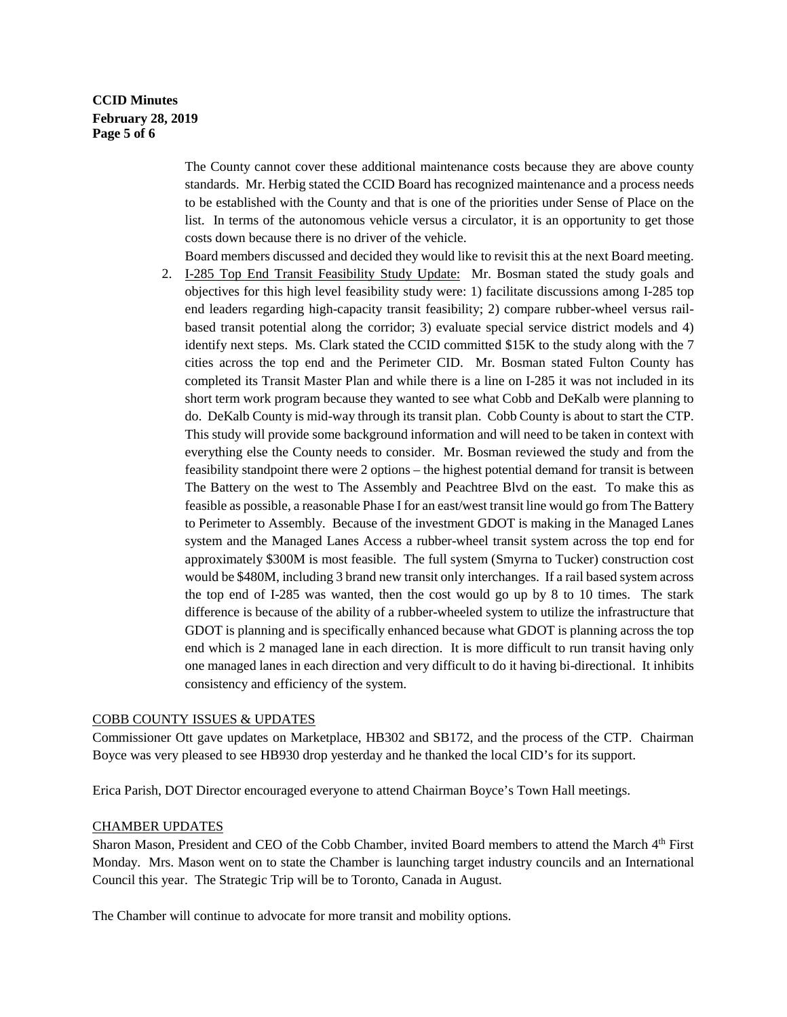# **CCID Minutes February 28, 2019 Page 5 of 6**

The County cannot cover these additional maintenance costs because they are above county standards. Mr. Herbig stated the CCID Board has recognized maintenance and a process needs to be established with the County and that is one of the priorities under Sense of Place on the list. In terms of the autonomous vehicle versus a circulator, it is an opportunity to get those costs down because there is no driver of the vehicle.

Board members discussed and decided they would like to revisit this at the next Board meeting.

2. I-285 Top End Transit Feasibility Study Update: Mr. Bosman stated the study goals and objectives for this high level feasibility study were: 1) facilitate discussions among I-285 top end leaders regarding high-capacity transit feasibility; 2) compare rubber-wheel versus railbased transit potential along the corridor; 3) evaluate special service district models and 4) identify next steps. Ms. Clark stated the CCID committed \$15K to the study along with the 7 cities across the top end and the Perimeter CID. Mr. Bosman stated Fulton County has completed its Transit Master Plan and while there is a line on I-285 it was not included in its short term work program because they wanted to see what Cobb and DeKalb were planning to do. DeKalb County is mid-way through its transit plan. Cobb County is about to start the CTP. This study will provide some background information and will need to be taken in context with everything else the County needs to consider. Mr. Bosman reviewed the study and from the feasibility standpoint there were 2 options – the highest potential demand for transit is between The Battery on the west to The Assembly and Peachtree Blvd on the east. To make this as feasible as possible, a reasonable Phase I for an east/west transit line would go from The Battery to Perimeter to Assembly. Because of the investment GDOT is making in the Managed Lanes system and the Managed Lanes Access a rubber-wheel transit system across the top end for approximately \$300M is most feasible. The full system (Smyrna to Tucker) construction cost would be \$480M, including 3 brand new transit only interchanges. If a rail based system across the top end of I-285 was wanted, then the cost would go up by 8 to 10 times. The stark difference is because of the ability of a rubber-wheeled system to utilize the infrastructure that GDOT is planning and is specifically enhanced because what GDOT is planning across the top end which is 2 managed lane in each direction. It is more difficult to run transit having only one managed lanes in each direction and very difficult to do it having bi-directional. It inhibits consistency and efficiency of the system.

#### COBB COUNTY ISSUES & UPDATES

Commissioner Ott gave updates on Marketplace, HB302 and SB172, and the process of the CTP. Chairman Boyce was very pleased to see HB930 drop yesterday and he thanked the local CID's for its support.

Erica Parish, DOT Director encouraged everyone to attend Chairman Boyce's Town Hall meetings.

#### CHAMBER UPDATES

Sharon Mason, President and CEO of the Cobb Chamber, invited Board members to attend the March 4th First Monday. Mrs. Mason went on to state the Chamber is launching target industry councils and an International Council this year. The Strategic Trip will be to Toronto, Canada in August.

The Chamber will continue to advocate for more transit and mobility options.